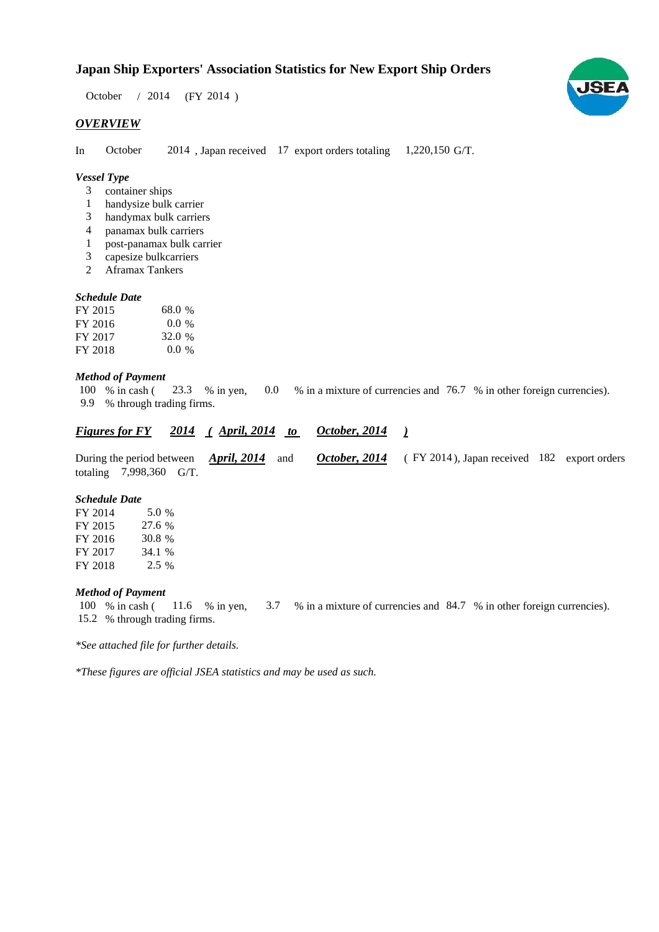# **Japan Ship Exporters' Association Statistics for New Export Ship Orders**

October / 2014 (FY 2014)

#### *OVERVIEW*

In October 2014, Japan received 17 export orders totaling 1,220,150 G/T.

#### *Vessel Type*

- container ships 3
- handysize bulk carrier 1
- handymax bulk carriers 3
- panamax bulk carriers 4
- post-panamax bulk carrier 1
- capesize bulkcarriers 3
- Aframax Tankers 2

### *Schedule Date*

| FY 2015 | 68.0 %  |
|---------|---------|
| FY 2016 | $0.0\%$ |
| FY 2017 | 32.0 %  |
| FY 2018 | $0.0\%$ |

### *Method of Payment*

% in cash ( $\frac{23.3}{8}$  in yen, 0.0 % in a mixture of currencies and 76.7 % in other foreign currencies). % through trading firms. 9.9 100  $%$  in cash ( 23.3 % in yen,

| <b>Figures for FY</b> | 2014 | $($ April, 2014 | October, 2014 |  |
|-----------------------|------|-----------------|---------------|--|
|                       |      |                 |               |  |

During the period between *April, 2014* and *October, 2014* (FY 2014), Japan received 182 export orders totaling 7,998,360 G/T. *April, 2014*

#### *Schedule Date*

| FY 2014 | 5.0 %   |
|---------|---------|
| FY 2015 | 27.6 %  |
| FY 2016 | 30.8 %  |
| FY 2017 | 34.1 %  |
| FY 2018 | $2.5\%$ |

#### *Method of Payment*

% in cash ( $\frac{11.6}{8}$  in yen,  $\frac{3.7}{8}$  in a mixture of currencies and 84.7 % in other foreign currencies). % through trading firms. 15.2 100 % in cash (

*\*See attached file for further details.*

*\*These figures are official JSEA statistics and may be used as such.*

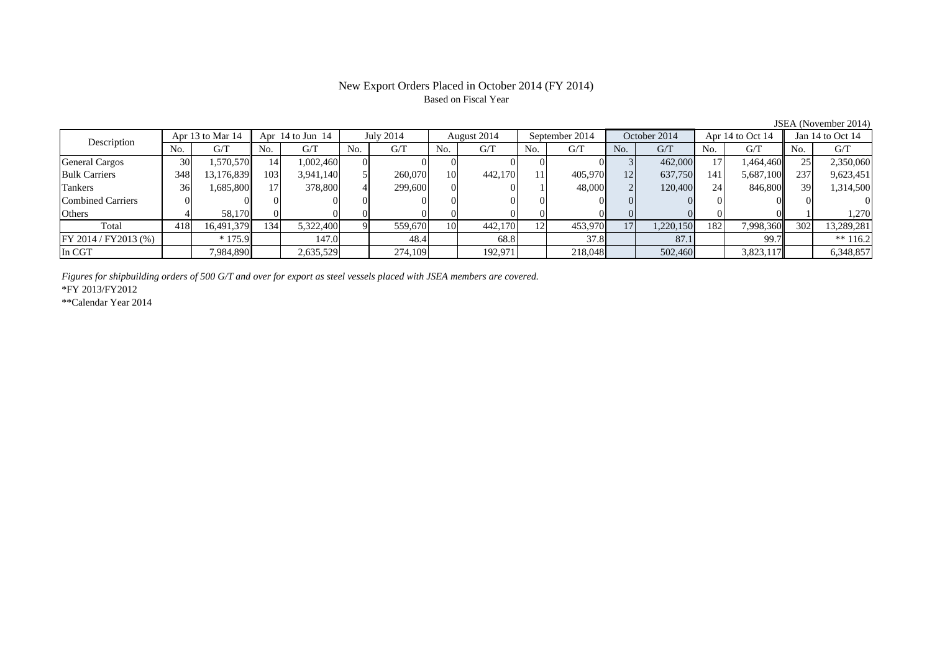#### New Export Orders Placed in October 2014 (FY 2014) Based on Fiscal Year

No. G/T No. G/T No. G/T No. G/T No. G/T No. G/T No. G/T No. G/T $\mathrm{G}/\mathrm{T}$ General Cargos ( 30 1,570,570 14 1,002,460 0 0 0 0 0 0 0 0 3 462,000 17 1,464,460 25 2,350,060 Bulk Carriers | 348 13,176,839 103 3,941,140 5 260,070 10 442,170 11 405,970 12 637,750 141 5,687,100 237 9,623,451 Tankers | 36| 1,685,800|| 17| 378,800| 4| 299,600| 0| 0| 1| 48,000| 2| 120,400| 24| 846,800|| 39| 1,314,500 Combined Carriers 0 0 0 0 0 0 0 0 0 0 0 0 0 0 0 0Others | 4 | 58,170 || 0 | 0 | 0 | 0 | 0 | 0 | 0 | 0 | 0 | 0 | 1,270 | 0 | 1 Total 418 16,491,379 134 5,322,400 9 559,670 10 442,170 12 453,970 17 1,220,150 182 7,998,360 302 13,289,281 FY 2014 / FY2013 (%) \* 175.9 147.0 147.0 48.4 68.8 37.8 87.1 99.7 \*\* 116.2 In CGT | | 7,984,890|| | 2,635,529| | 274,109| | 192,971| | 218,048| | 502,460| | 3,823,117|| | 6,348,857 Apr 13 to Mar 14 Apr 14 to Jun 14 July 2014 August 2014 Jan 14 to Oct 14 Description September 2014 October 2014 Apr 14 to Oct 14

*Figures for shipbuilding orders of 500 G/T and over for export as steel vessels placed with JSEA members are covered.*

\*FY 2013/FY2012

\*\*Calendar Year 2014

JSEA (November 2014)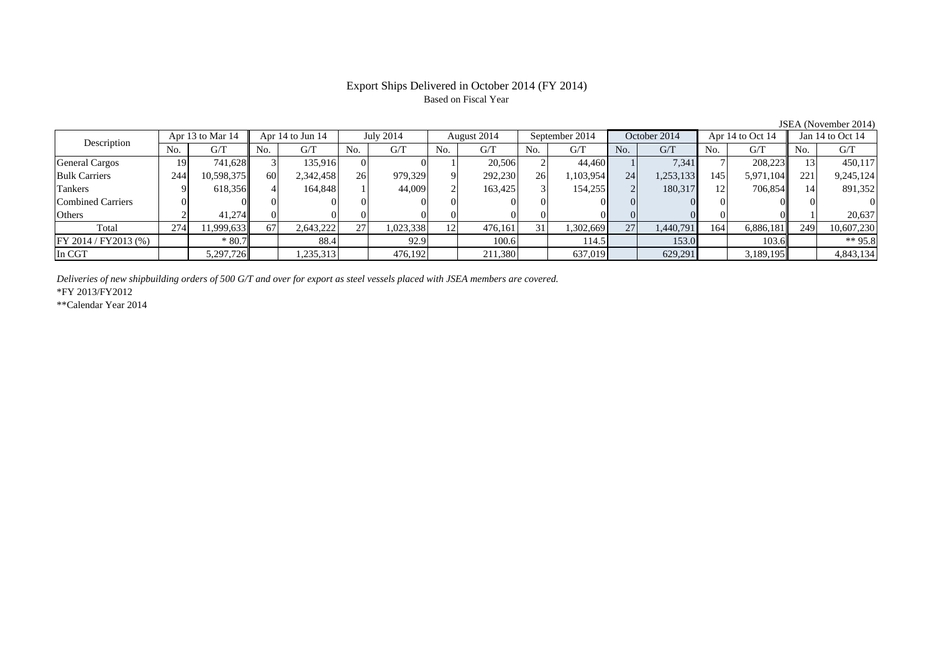## Export Ships Delivered in October 2014 (FY 2014) Based on Fiscal Year

| Description           |     | Apr 13 to Mar 14 |     | Apr $14$ to Jun $14$ |          | July 2014 |                | August 2014 |     | September 2014 |     | October 2014 |     | Apr 14 to Oct 14 |     | Jan $14$ to Oct $14$ |
|-----------------------|-----|------------------|-----|----------------------|----------|-----------|----------------|-------------|-----|----------------|-----|--------------|-----|------------------|-----|----------------------|
|                       | No. | G/T              | No. | G/T                  | No.      | G/T       | N <sub>0</sub> | G/T         | No. | G/T            | No. | G/T          | No. | G/T              | No. | G/T                  |
| <b>General Cargos</b> | 191 | 741.628          |     | 135.916              | $\Omega$ |           |                | 20,506      |     | 44.460         |     | 7,341        |     | 208,223          |     | 450,117              |
| <b>Bulk Carriers</b>  | 244 | 10,598,375       | 60  | 2,342,458            | 26       | 979,329   |                | 292,230     | 26  | 1,103,954      | 24  | 1,253,133    | 145 | 5,971,104        | 221 | 9,245,124            |
| Tankers               |     | 618,356          |     | 164.848              |          | 44,009    |                | 163.425     |     | 154,255        |     | 180.317      | 12  | 706.854          |     | 891,352              |
| Combined Carriers     |     |                  |     |                      |          |           |                | 01          |     |                |     |              |     |                  |     |                      |
| <b>Others</b>         |     | 41.274           |     |                      |          |           |                | $\Omega$    |     |                |     |              |     |                  |     | 20.637               |
| Total                 | 274 | 1,999,633        | 67  | 2,643,222            | 27       | 1,023,338 | 12             | 476.161     | 31  | 1,302,669      | 27  | 1,440,791    | 164 | 6,886,181        | 249 | 10,607,230           |
| FY 2014 / FY 2013 (%) |     | $*80.7$          |     | 88.4                 |          | 92.9      |                | 100.6       |     | 114.5          |     | 153.0        |     | 103.6            |     | ** $95.8$            |
| In CGT                |     | 5,297,726        |     | 1,235,313            |          | 476,192   |                | 211,380     |     | 637,019        |     | 629,291      |     | 3,189,195        |     | 4,843,134            |

*Deliveries of new shipbuilding orders of 500 G/T and over for export as steel vessels placed with JSEA members are covered.*

\*FY 2013/FY2012

\*\*Calendar Year 2014

JSEA (November 2014)